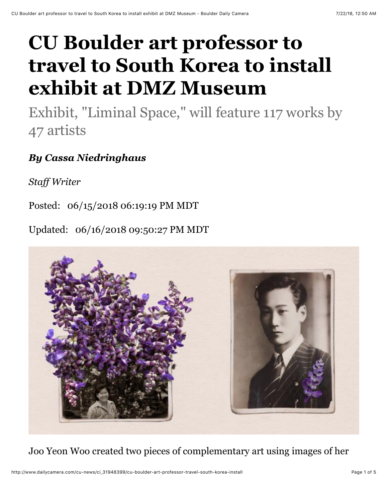## **CU Boulder art professor to travel to South Korea to install exhibit at DMZ Museum**

Exhibit, "Liminal Space," will feature 117 works by 47 artists

## *By Cassa Niedringhaus*

*Staff Writer*

Posted: 06/15/2018 06:19:19 PM MDT

Updated: 06/16/2018 09:50:27 PM MDT



Joo Yeon Woo created two pieces of complementary art using images of her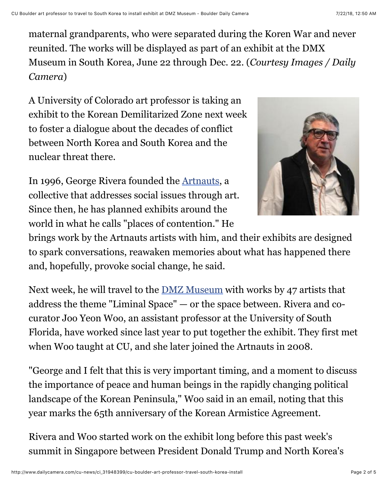maternal grandparents, who were separated during the Koren War and never reunited. The works will be displayed as part of an exhibit at the DMX Museum in South Korea, June 22 through Dec. 22. (*Courtesy Images / Daily Camera*)

A University of Colorado art professor is taking an exhibit to the Korean Demilitarized Zone next week to foster a dialogue about the decades of conflict between North Korea and South Korea and the nuclear threat there.

In 1996, George Rivera founded the [Artnauts](http://www.artnauts.org/), a collective that addresses social issues through art. Since then, he has planned exhibits around the world in what he calls "places of contention." He



brings work by the Artnauts artists with him, and their exhibits are designed to spark conversations, reawaken memories about what has happened there and, hopefully, provoke social change, he said.

Next week, he will travel to the [DMZ Museum](http://www.dmzmuseum.com/museum/eng/sub03_01.php) with works by 47 artists that address the theme "Liminal Space" — or the space between. Rivera and cocurator Joo Yeon Woo, an assistant professor at the University of South Florida, have worked since last year to put together the exhibit. They first met when Woo taught at CU, and she later joined the Artnauts in 2008.

"George and I felt that this is very important timing, and a moment to discuss the importance of peace and human beings in the rapidly changing political landscape of the Korean Peninsula," Woo said in an email, noting that this year marks the 65th anniversary of the Korean Armistice Agreement.

Rivera and Woo started work on the exhibit long before this past week's summit in Singapore between President Donald Trump and North Korea's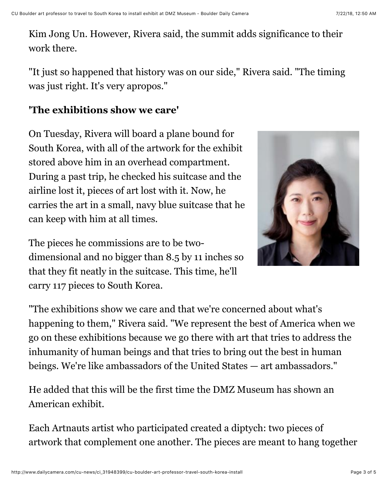Kim Jong Un. However, Rivera said, the summit adds significance to their work there.

"It just so happened that history was on our side," Rivera said. "The timing was just right. It's very apropos."

## **'The exhibitions show we care'**

On Tuesday, Rivera will board a plane bound for South Korea, with all of the artwork for the exhibit stored above him in an overhead compartment. During a past trip, he checked his suitcase and the airline lost it, pieces of art lost with it. Now, he carries the art in a small, navy blue suitcase that he can keep with him at all times.

The pieces he commissions are to be twodimensional and no bigger than 8.5 by 11 inches so that they fit neatly in the suitcase. This time, he'll carry 117 pieces to South Korea.



"The exhibitions show we care and that we're concerned about what's happening to them," Rivera said. "We represent the best of America when we go on these exhibitions because we go there with art that tries to address the inhumanity of human beings and that tries to bring out the best in human beings. We're like ambassadors of the United States — art ambassadors."

He added that this will be the first time the DMZ Museum has shown an American exhibit.

Each Artnauts artist who participated created a diptych: two pieces of artwork that complement one another. The pieces are meant to hang together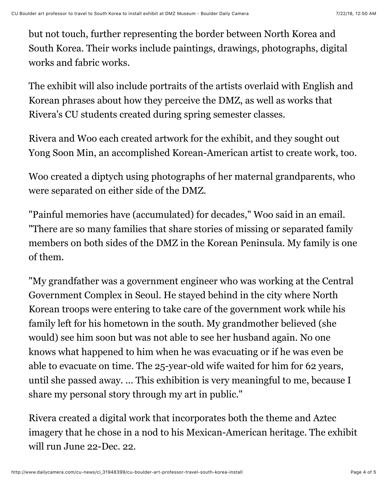but not touch, further representing the border between North Korea and South Korea. Their works include paintings, drawings, photographs, digital works and fabric works.

The exhibit will also include portraits of the artists overlaid with English and Korean phrases about how they perceive the DMZ, as well as works that Rivera's CU students created during spring semester classes.

Rivera and Woo each created artwork for the exhibit, and they sought out Yong Soon Min, an accomplished Korean-American artist to create work, too.

Woo created a diptych using photographs of her maternal grandparents, who were separated on either side of the DMZ.

"Painful memories have (accumulated) for decades," Woo said in an email. "There are so many families that share stories of missing or separated family members on both sides of the DMZ in the Korean Peninsula. My family is one of them.

"My grandfather was a government engineer who was working at the Central Government Complex in Seoul. He stayed behind in the city where North Korean troops were entering to take care of the government work while his family left for his hometown in the south. My grandmother believed (she would) see him soon but was not able to see her husband again. No one knows what happened to him when he was evacuating or if he was even be able to evacuate on time. The 25-year-old wife waited for him for 62 years, until she passed away. ... This exhibition is very meaningful to me, because I share my personal story through my art in public."

Rivera created a digital work that incorporates both the theme and Aztec imagery that he chose in a nod to his Mexican-American heritage. The exhibit will run June 22-Dec. 22.